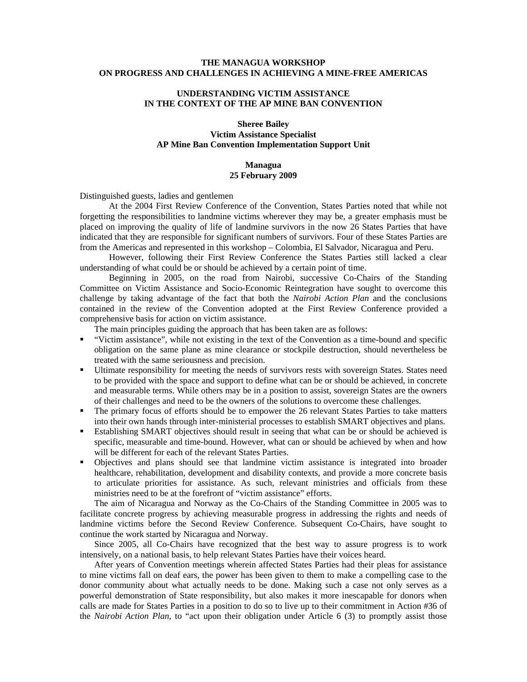# **THE MANAGUA WORKSHOP ON PROGRESS AND CHALLENGES IN ACHIEVING A MINE-FREE AMERICAS**

# **UNDERSTANDING VICTIM ASSISTANCE IN THE CONTEXT OF THE AP MINE BAN CONVENTION**

### **Sheree Bailey Victim Assistance Specialist AP Mine Ban Convention Implementation Support Unit**

### **Managua 25 February 2009**

### Distinguished guests, ladies and gentlemen

At the 2004 First Review Conference of the Convention, States Parties noted that while not forgetting the responsibilities to landmine victims wherever they may be, a greater emphasis must be placed on improving the quality of life of landmine survivors in the now 26 States Parties that have indicated that they are responsible for significant numbers of survivors. Four of these States Parties are from the Americas and represented in this workshop – Colombia, El Salvador, Nicaragua and Peru.

However, following their First Review Conference the States Parties still lacked a clear understanding of what could be or should be achieved by a certain point of time.

Beginning in 2005, on the road from Nairobi, successive Co-Chairs of the Standing Committee on Victim Assistance and Socio-Economic Reintegration have sought to overcome this challenge by taking advantage of the fact that both the *Nairobi Action Plan* and the conclusions contained in the review of the Convention adopted at the First Review Conference provided a comprehensive basis for action on victim assistance.

The main principles guiding the approach that has been taken are as follows:

- "Victim assistance", while not existing in the text of the Convention as a time-bound and specific obligation on the same plane as mine clearance or stockpile destruction, should nevertheless be treated with the same seriousness and precision.
- Ultimate responsibility for meeting the needs of survivors rests with sovereign States. States need to be provided with the space and support to define what can be or should be achieved, in concrete and measurable terms. While others may be in a position to assist, sovereign States are the owners of their challenges and need to be the owners of the solutions to overcome these challenges.
- The primary focus of efforts should be to empower the 26 relevant States Parties to take matters into their own hands through inter-ministerial processes to establish SMART objectives and plans.
- Establishing SMART objectives should result in seeing that what can be or should be achieved is specific, measurable and time-bound. However, what can or should be achieved by when and how will be different for each of the relevant States Parties.
- Objectives and plans should see that landmine victim assistance is integrated into broader healthcare, rehabilitation, development and disability contexts, and provide a more concrete basis to articulate priorities for assistance. As such, relevant ministries and officials from these ministries need to be at the forefront of "victim assistance" efforts.

The aim of Nicaragua and Norway as the Co-Chairs of the Standing Committee in 2005 was to facilitate concrete progress by achieving measurable progress in addressing the rights and needs of landmine victims before the Second Review Conference. Subsequent Co-Chairs, have sought to continue the work started by Nicaragua and Norway.

Since 2005, all Co-Chairs have recognized that the best way to assure progress is to work intensively, on a national basis, to help relevant States Parties have their voices heard.

After years of Convention meetings wherein affected States Parties had their pleas for assistance to mine victims fall on deaf ears, the power has been given to them to make a compelling case to the donor community about what actually needs to be done. Making such a case not only serves as a powerful demonstration of State responsibility, but also makes it more inescapable for donors when calls are made for States Parties in a position to do so to live up to their commitment in Action #36 of the *Nairobi Action Plan*, to "act upon their obligation under Article 6 (3) to promptly assist those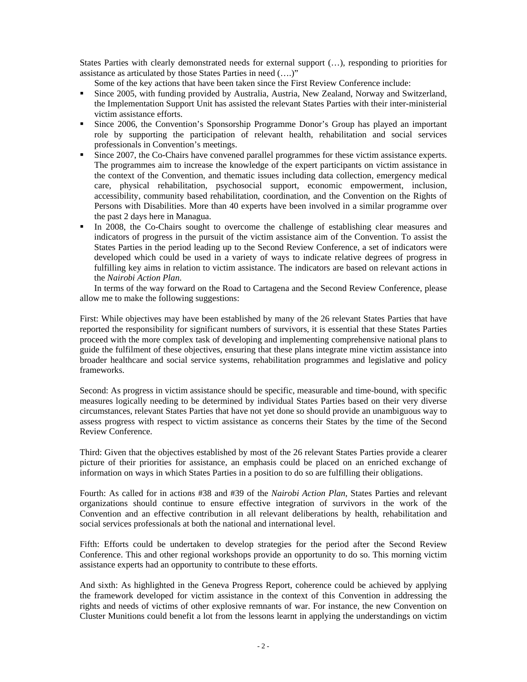States Parties with clearly demonstrated needs for external support (…), responding to priorities for assistance as articulated by those States Parties in need (….)"

Some of the key actions that have been taken since the First Review Conference include:

- Since 2005, with funding provided by Australia, Austria, New Zealand, Norway and Switzerland, the Implementation Support Unit has assisted the relevant States Parties with their inter-ministerial victim assistance efforts.
- Since 2006, the Convention's Sponsorship Programme Donor's Group has played an important role by supporting the participation of relevant health, rehabilitation and social services professionals in Convention's meetings.
- Since 2007, the Co-Chairs have convened parallel programmes for these victim assistance experts. The programmes aim to increase the knowledge of the expert participants on victim assistance in the context of the Convention, and thematic issues including data collection, emergency medical care, physical rehabilitation, psychosocial support, economic empowerment, inclusion, accessibility, community based rehabilitation, coordination, and the Convention on the Rights of Persons with Disabilities. More than 40 experts have been involved in a similar programme over the past 2 days here in Managua.
- In 2008, the Co-Chairs sought to overcome the challenge of establishing clear measures and indicators of progress in the pursuit of the victim assistance aim of the Convention. To assist the States Parties in the period leading up to the Second Review Conference, a set of indicators were developed which could be used in a variety of ways to indicate relative degrees of progress in fulfilling key aims in relation to victim assistance. The indicators are based on relevant actions in the *Nairobi Action Plan*.

In terms of the way forward on the Road to Cartagena and the Second Review Conference, please allow me to make the following suggestions:

First: While objectives may have been established by many of the 26 relevant States Parties that have reported the responsibility for significant numbers of survivors, it is essential that these States Parties proceed with the more complex task of developing and implementing comprehensive national plans to guide the fulfilment of these objectives, ensuring that these plans integrate mine victim assistance into broader healthcare and social service systems, rehabilitation programmes and legislative and policy frameworks.

Second: As progress in victim assistance should be specific, measurable and time-bound, with specific measures logically needing to be determined by individual States Parties based on their very diverse circumstances, relevant States Parties that have not yet done so should provide an unambiguous way to assess progress with respect to victim assistance as concerns their States by the time of the Second Review Conference.

Third: Given that the objectives established by most of the 26 relevant States Parties provide a clearer picture of their priorities for assistance, an emphasis could be placed on an enriched exchange of information on ways in which States Parties in a position to do so are fulfilling their obligations.

Fourth: As called for in actions #38 and #39 of the *Nairobi Action Plan*, States Parties and relevant organizations should continue to ensure effective integration of survivors in the work of the Convention and an effective contribution in all relevant deliberations by health, rehabilitation and social services professionals at both the national and international level.

Fifth: Efforts could be undertaken to develop strategies for the period after the Second Review Conference. This and other regional workshops provide an opportunity to do so. This morning victim assistance experts had an opportunity to contribute to these efforts.

And sixth: As highlighted in the Geneva Progress Report, coherence could be achieved by applying the framework developed for victim assistance in the context of this Convention in addressing the rights and needs of victims of other explosive remnants of war. For instance, the new Convention on Cluster Munitions could benefit a lot from the lessons learnt in applying the understandings on victim